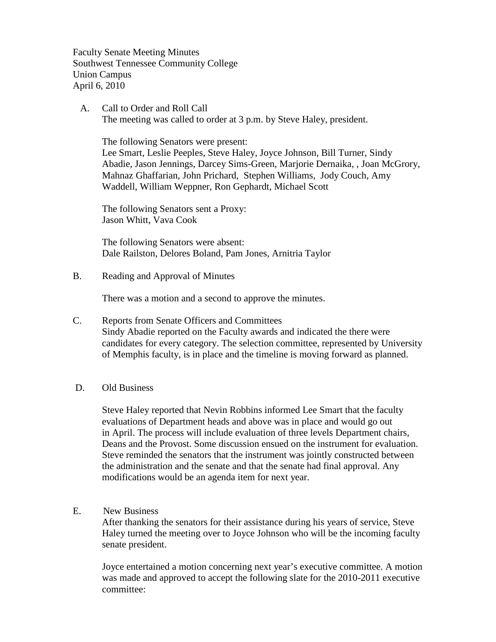Faculty Senate Meeting Minutes Southwest Tennessee Community College Union Campus April 6, 2010

 A. Call to Order and Roll Call The meeting was called to order at 3 p.m. by Steve Haley, president.

The following Senators were present:

Lee Smart, Leslie Peeples, Steve Haley, Joyce Johnson, Bill Turner, Sindy Abadie, Jason Jennings, Darcey Sims-Green, Marjorie Dernaika, , Joan McGrory, Mahnaz Ghaffarian, John Prichard, Stephen Williams, Jody Couch, Amy Waddell, William Weppner, Ron Gephardt, Michael Scott

The following Senators sent a Proxy: Jason Whitt, Vava Cook

The following Senators were absent: Dale Railston, Delores Boland, Pam Jones, Arnitria Taylor

B. Reading and Approval of Minutes

There was a motion and a second to approve the minutes.

- C. Reports from Senate Officers and Committees Sindy Abadie reported on the Faculty awards and indicated the there were candidates for every category. The selection committee, represented by University of Memphis faculty, is in place and the timeline is moving forward as planned.
- D. Old Business

Steve Haley reported that Nevin Robbins informed Lee Smart that the faculty evaluations of Department heads and above was in place and would go out in April. The process will include evaluation of three levels Department chairs, Deans and the Provost. Some discussion ensued on the instrument for evaluation. Steve reminded the senators that the instrument was jointly constructed between the administration and the senate and that the senate had final approval. Any modifications would be an agenda item for next year.

E. New Business

After thanking the senators for their assistance during his years of service, Steve Haley turned the meeting over to Joyce Johnson who will be the incoming faculty senate president.

Joyce entertained a motion concerning next year's executive committee. A motion was made and approved to accept the following slate for the 2010-2011 executive committee: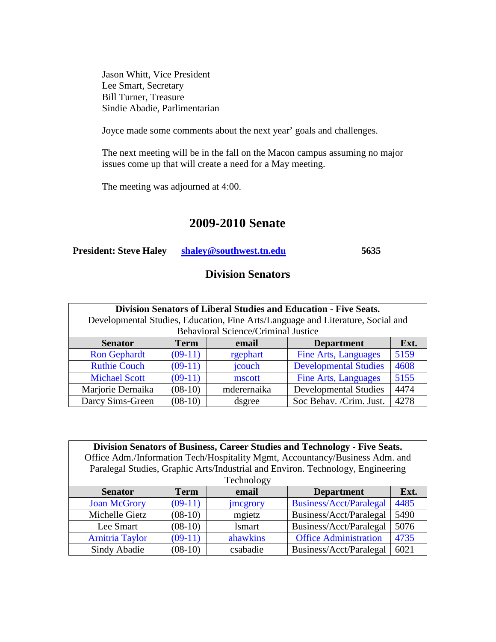Jason Whitt, Vice President Lee Smart, Secretary Bill Turner, Treasure Sindie Abadie, Parlimentarian

Joyce made some comments about the next year' goals and challenges.

The next meeting will be in the fall on the Macon campus assuming no major issues come up that will create a need for a May meeting.

The meeting was adjourned at 4:00.

# **2009-2010 Senate**

| <b>President: Steve Haley</b> | shaley@southwest.tn.edu | 5635 |
|-------------------------------|-------------------------|------|
|-------------------------------|-------------------------|------|

## **Division Senators**

| Division Senators of Liberal Studies and Education - Five Seats.                |           |                                            |                              |      |
|---------------------------------------------------------------------------------|-----------|--------------------------------------------|------------------------------|------|
| Developmental Studies, Education, Fine Arts/Language and Literature, Social and |           |                                            |                              |      |
|                                                                                 |           | <b>Behavioral Science/Criminal Justice</b> |                              |      |
| Ext.<br><b>Term</b><br><b>Senator</b><br><b>Department</b><br>email             |           |                                            |                              |      |
| <b>Ron Gephardt</b>                                                             | $(09-11)$ | rgephart                                   | <b>Fine Arts, Languages</b>  | 5159 |
| <b>Ruthie Couch</b>                                                             | $(09-11)$ | jcouch                                     | <b>Developmental Studies</b> | 4608 |
| <b>Michael Scott</b>                                                            | $(09-11)$ | mscott                                     | <b>Fine Arts, Languages</b>  | 5155 |
| Marjorie Dernaika                                                               | $(08-10)$ | mderernaika                                | <b>Developmental Studies</b> | 4474 |
| Darcy Sims-Green                                                                | $(08-10)$ | dsgree                                     | Soc Behav. /Crim. Just.      | 4278 |

**Division Senators of Business, Career Studies and Technology - Five Seats.** Office Adm./Information Tech/Hospitality Mgmt, Accountancy/Business Adm. and Paralegal Studies, Graphic Arts/Industrial and Environ. Technology, Engineering **Technology** 

| <b>Senator</b>         | Term      | email            | <b>Department</b>              | Ext. |
|------------------------|-----------|------------------|--------------------------------|------|
| <b>Joan McGrory</b>    | $(09-11)$ | <i>s</i> mcgrory | <b>Business/Acct/Paralegal</b> | 4485 |
| Michelle Gietz         | $(08-10)$ | mgietz           | Business/Acct/Paralegal        | 5490 |
| Lee Smart              | $(08-10)$ | <b>lsmart</b>    | Business/Acct/Paralegal        | 5076 |
| <b>Arnitria Taylor</b> | $(09-11)$ | ahawkins         | <b>Office Administration</b>   | 4735 |
| Sindy Abadie           | $(08-10)$ | csabadie         | Business/Acct/Paralegal        | 6021 |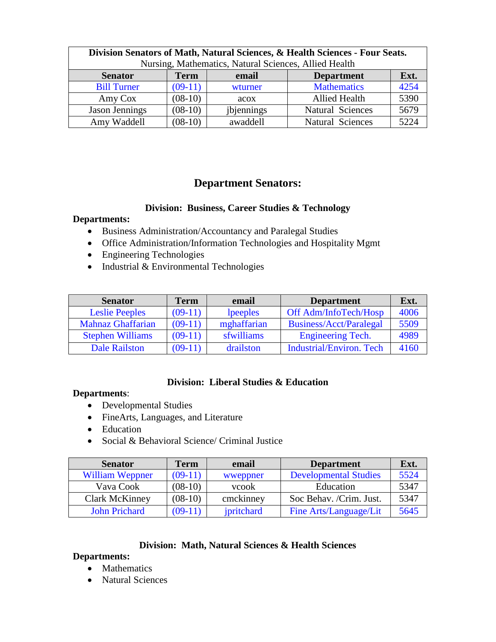| Division Senators of Math, Natural Sciences, & Health Sciences - Four Seats. |                                                       |            |                      |      |  |
|------------------------------------------------------------------------------|-------------------------------------------------------|------------|----------------------|------|--|
|                                                                              | Nursing, Mathematics, Natural Sciences, Allied Health |            |                      |      |  |
| Ext.<br><b>Term</b><br><b>Department</b><br><b>Senator</b><br>email          |                                                       |            |                      |      |  |
| <b>Bill Turner</b>                                                           | $(09-11)$                                             | wturner    | <b>Mathematics</b>   | 4254 |  |
| Amy Cox                                                                      | $(08-10)$                                             | acox       | <b>Allied Health</b> | 5390 |  |
| Jason Jennings                                                               | $(08-10)$                                             | jbjennings | Natural Sciences     | 5679 |  |
| Amy Waddell                                                                  | $(08-10)$                                             | awaddell   | Natural Sciences     | 5224 |  |

### **Department Senators:**

#### **Division: Business, Career Studies & Technology**

#### **Departments:**

- Business Administration/Accountancy and Paralegal Studies
- Office Administration/Information Technologies and Hospitality Mgmt
- Engineering Technologies
- Industrial & Environmental Technologies

| <b>Senator</b>           | Term      | email       | <b>Department</b>               | Ext. |
|--------------------------|-----------|-------------|---------------------------------|------|
| <b>Leslie Peeples</b>    | $(09-11)$ | lpeeples    | Off Adm/InfoTech/Hosp           | 4006 |
| <b>Mahnaz Ghaffarian</b> | $(09-11)$ | mghaffarian | Business/Acct/Paralegal         | 5509 |
| <b>Stephen Williams</b>  | $(09-11)$ | sfwilliams  | <b>Engineering Tech.</b>        | 4989 |
| <b>Dale Railston</b>     | $(09-11)$ | drailston   | <b>Industrial/Environ. Tech</b> | 4160 |

### **Division: Liberal Studies & Education**

#### **Departments**:

- Developmental Studies
- FineArts, Languages, and Literature
- Education
- Social & Behavioral Science/ Criminal Justice

| <b>Senator</b>         | <b>Term</b> | email      | <b>Department</b>            | Ext. |
|------------------------|-------------|------------|------------------------------|------|
| <b>William Weppner</b> | $(09-11)$   | wweppner   | <b>Developmental Studies</b> | 5524 |
| Vava Cook              | $(08-10)$   | vcook      | Education                    | 5347 |
| <b>Clark McKinney</b>  | $(08-10)$   | cmckinney  | Soc Behav. /Crim. Just.      | 5347 |
| <b>John Prichard</b>   | $(09-11)$   | jpritchard | Fine Arts/Language/Lit       | 5645 |

### **Division: Math, Natural Sciences & Health Sciences**

#### **Departments:**

- Mathematics
- Natural Sciences